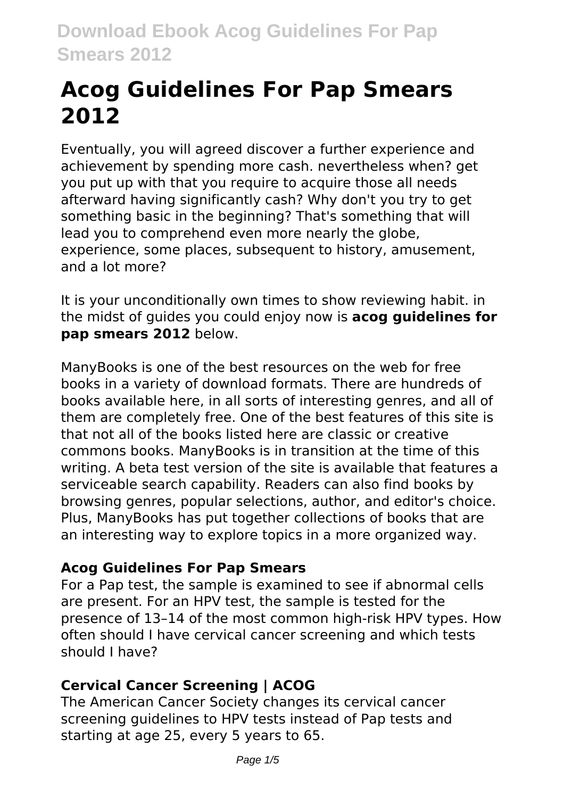# **Acog Guidelines For Pap Smears 2012**

Eventually, you will agreed discover a further experience and achievement by spending more cash. nevertheless when? get you put up with that you require to acquire those all needs afterward having significantly cash? Why don't you try to get something basic in the beginning? That's something that will lead you to comprehend even more nearly the globe, experience, some places, subsequent to history, amusement, and a lot more?

It is your unconditionally own times to show reviewing habit. in the midst of guides you could enjoy now is **acog guidelines for pap smears 2012** below.

ManyBooks is one of the best resources on the web for free books in a variety of download formats. There are hundreds of books available here, in all sorts of interesting genres, and all of them are completely free. One of the best features of this site is that not all of the books listed here are classic or creative commons books. ManyBooks is in transition at the time of this writing. A beta test version of the site is available that features a serviceable search capability. Readers can also find books by browsing genres, popular selections, author, and editor's choice. Plus, ManyBooks has put together collections of books that are an interesting way to explore topics in a more organized way.

### **Acog Guidelines For Pap Smears**

For a Pap test, the sample is examined to see if abnormal cells are present. For an HPV test, the sample is tested for the presence of 13–14 of the most common high-risk HPV types. How often should I have cervical cancer screening and which tests should I have?

## **Cervical Cancer Screening | ACOG**

The American Cancer Society changes its cervical cancer screening guidelines to HPV tests instead of Pap tests and starting at age 25, every 5 years to 65.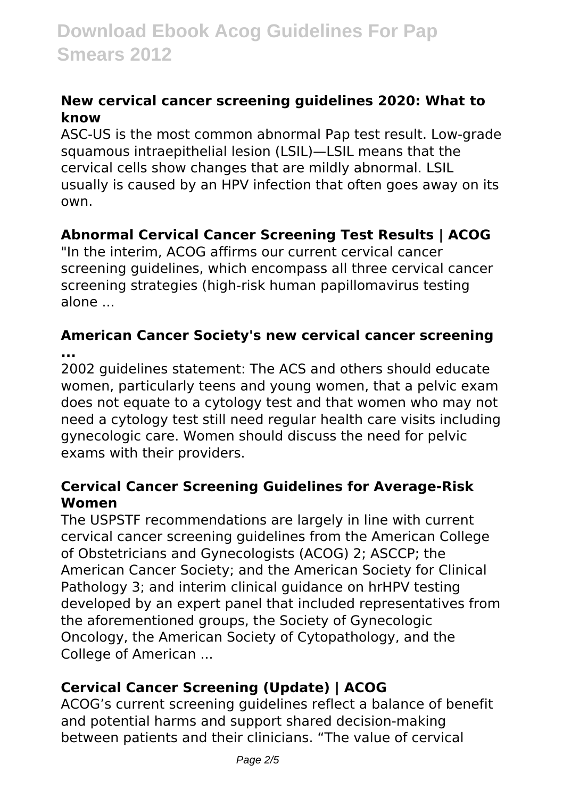#### **New cervical cancer screening guidelines 2020: What to know**

ASC-US is the most common abnormal Pap test result. Low-grade squamous intraepithelial lesion (LSIL)—LSIL means that the cervical cells show changes that are mildly abnormal. LSIL usually is caused by an HPV infection that often goes away on its own.

#### **Abnormal Cervical Cancer Screening Test Results | ACOG**

"In the interim, ACOG affirms our current cervical cancer screening guidelines, which encompass all three cervical cancer screening strategies (high-risk human papillomavirus testing alone ...

#### **American Cancer Society's new cervical cancer screening ...**

2002 guidelines statement: The ACS and others should educate women, particularly teens and young women, that a pelvic exam does not equate to a cytology test and that women who may not need a cytology test still need regular health care visits including gynecologic care. Women should discuss the need for pelvic exams with their providers.

#### **Cervical Cancer Screening Guidelines for Average-Risk Women**

The USPSTF recommendations are largely in line with current cervical cancer screening guidelines from the American College of Obstetricians and Gynecologists (ACOG) 2; ASCCP; the American Cancer Society; and the American Society for Clinical Pathology 3; and interim clinical guidance on hrHPV testing developed by an expert panel that included representatives from the aforementioned groups, the Society of Gynecologic Oncology, the American Society of Cytopathology, and the College of American ...

### **Cervical Cancer Screening (Update) | ACOG**

ACOG's current screening guidelines reflect a balance of benefit and potential harms and support shared decision-making between patients and their clinicians. "The value of cervical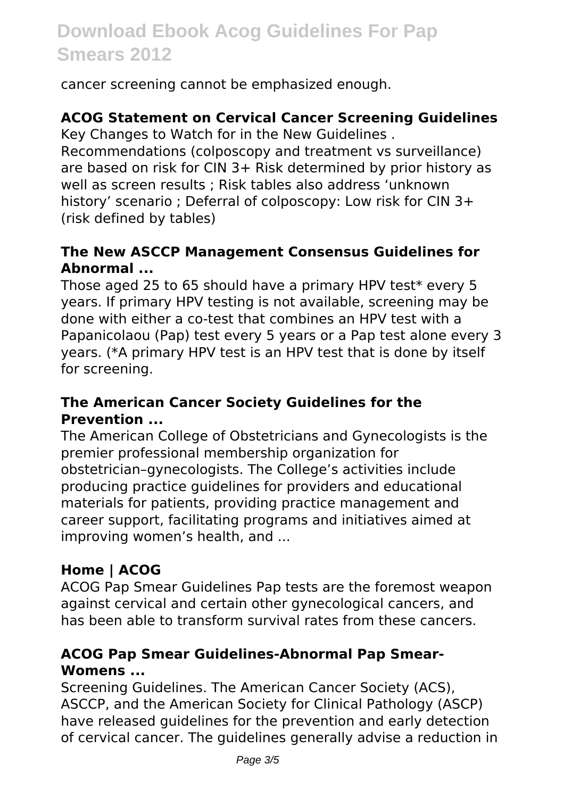cancer screening cannot be emphasized enough.

### **ACOG Statement on Cervical Cancer Screening Guidelines**

Key Changes to Watch for in the New Guidelines .

Recommendations (colposcopy and treatment vs surveillance) are based on risk for CIN 3+ Risk determined by prior history as well as screen results ; Risk tables also address 'unknown history' scenario ; Deferral of colposcopy: Low risk for CIN 3+ (risk defined by tables)

#### **The New ASCCP Management Consensus Guidelines for Abnormal ...**

Those aged 25 to 65 should have a primary HPV test\* every 5 years. If primary HPV testing is not available, screening may be done with either a co-test that combines an HPV test with a Papanicolaou (Pap) test every 5 years or a Pap test alone every 3 years. (\*A primary HPV test is an HPV test that is done by itself for screening.

#### **The American Cancer Society Guidelines for the Prevention ...**

The American College of Obstetricians and Gynecologists is the premier professional membership organization for obstetrician–gynecologists. The College's activities include producing practice guidelines for providers and educational materials for patients, providing practice management and career support, facilitating programs and initiatives aimed at improving women's health, and ...

## **Home | ACOG**

ACOG Pap Smear Guidelines Pap tests are the foremost weapon against cervical and certain other gynecological cancers, and has been able to transform survival rates from these cancers.

#### **ACOG Pap Smear Guidelines-Abnormal Pap Smear-Womens ...**

Screening Guidelines. The American Cancer Society (ACS), ASCCP, and the American Society for Clinical Pathology (ASCP) have released guidelines for the prevention and early detection of cervical cancer. The guidelines generally advise a reduction in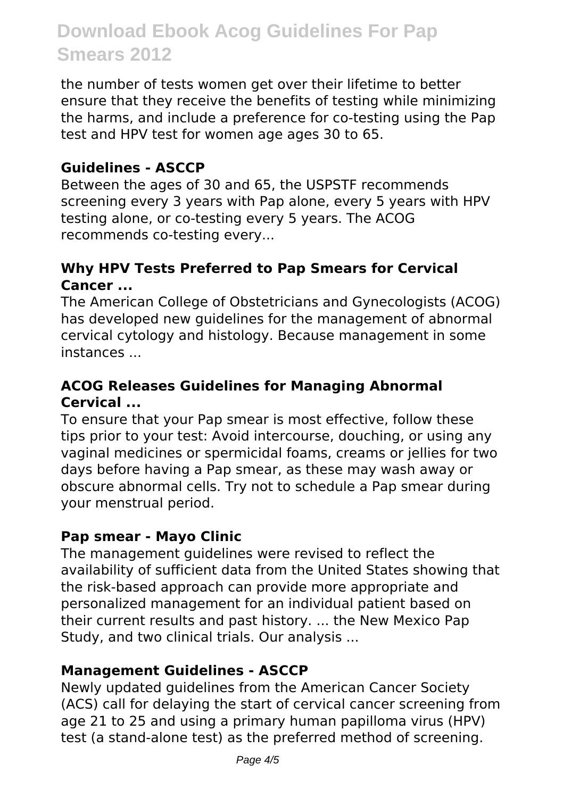the number of tests women get over their lifetime to better ensure that they receive the benefits of testing while minimizing the harms, and include a preference for co-testing using the Pap test and HPV test for women age ages 30 to 65.

#### **Guidelines - ASCCP**

Between the ages of 30 and 65, the USPSTF recommends screening every 3 years with Pap alone, every 5 years with HPV testing alone, or co-testing every 5 years. The ACOG recommends co-testing every...

#### **Why HPV Tests Preferred to Pap Smears for Cervical Cancer ...**

The American College of Obstetricians and Gynecologists (ACOG) has developed new guidelines for the management of abnormal cervical cytology and histology. Because management in some instances ...

#### **ACOG Releases Guidelines for Managing Abnormal Cervical ...**

To ensure that your Pap smear is most effective, follow these tips prior to your test: Avoid intercourse, douching, or using any vaginal medicines or spermicidal foams, creams or jellies for two days before having a Pap smear, as these may wash away or obscure abnormal cells. Try not to schedule a Pap smear during your menstrual period.

#### **Pap smear - Mayo Clinic**

The management guidelines were revised to reflect the availability of sufficient data from the United States showing that the risk-based approach can provide more appropriate and personalized management for an individual patient based on their current results and past history. ... the New Mexico Pap Study, and two clinical trials. Our analysis ...

#### **Management Guidelines - ASCCP**

Newly updated guidelines from the American Cancer Society (ACS) call for delaying the start of cervical cancer screening from age 21 to 25 and using a primary human papilloma virus (HPV) test (a stand-alone test) as the preferred method of screening.